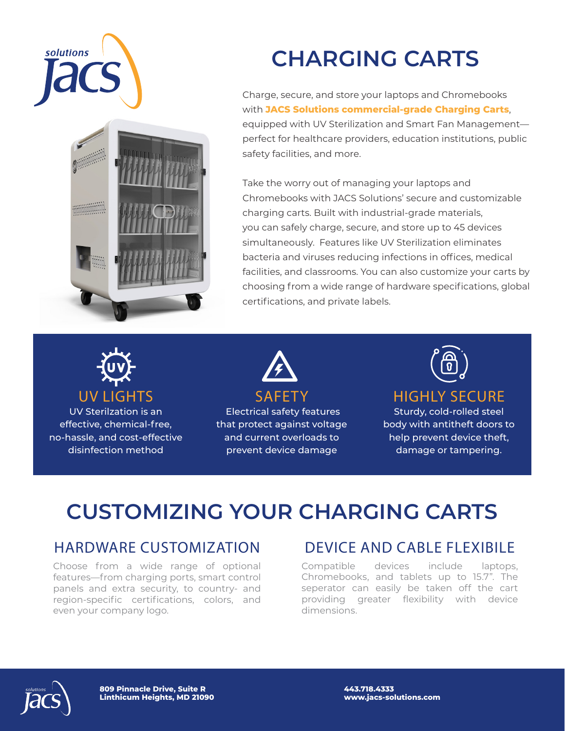



# **CHARGING CARTS**

Charge, secure, and store your laptops and Chromebooks with **JACS Solutions commercial-grade Charging Carts**, equipped with UV Sterilization and Smart Fan Management perfect for healthcare providers, education institutions, public safety facilities, and more.

Take the worry out of managing your laptops and Chromebooks with JACS Solutions' secure and customizable charging carts. Built with industrial-grade materials, you can safely charge, secure, and store up to 45 devices simultaneously. Features like UV Sterilization eliminates bacteria and viruses reducing infections in offices, medical facilities, and classrooms. You can also customize your carts by choosing from a wide range of hardware specifications, global certifications, and private labels.



UV Sterilzation is an effective, chemical-free, no-hassle, and cost-effective disinfection method



 Electrical safety features that protect against voltage and current overloads to prevent device damage



#### HIGHLY SECURE

Sturdy, cold-rolled steel body with antitheft doors to help prevent device theft, damage or tampering.

## **CUSTOMIZING YOUR CHARGING CARTS**

### HARDWARE CUSTOMIZATION

Choose from a wide range of optional features—from charging ports, smart control panels and extra security, to country- and region-specific certifications, colors, and even your company logo.

### DEVICE AND CABLE FLEXIBILE

Compatible devices include laptops, Chromebooks, and tablets up to 15.7". The seperator can easily be taken off the cart providing greater flexibility with device dimensions.



**809 Pinnacle Drive, Suite R Linthicum Heights, MD 21090** **443.718.4333 www.jacs-solutions.com**